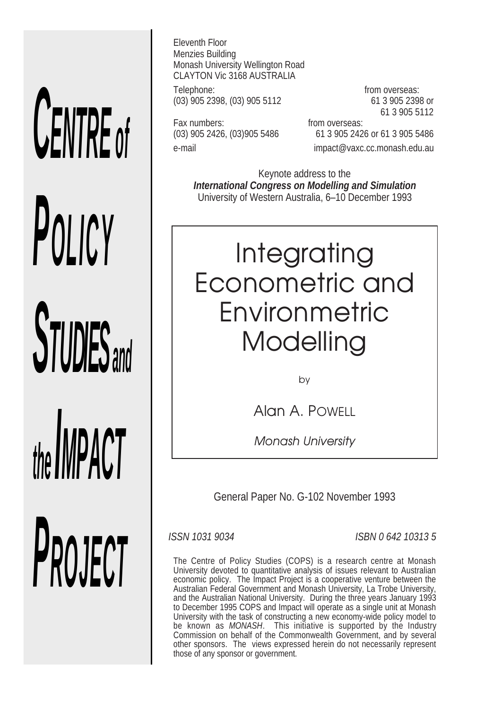# *CENTRE of POLICY STUDIES and*

*the IMPACT*

*PROJECT*

Eleventh Floor Menzies Building Monash University Wellington Road CLAYTON Vic 3168 AUSTRALIA

Telephone: from overseas:<br>(03) 905 2398, (03) 905 5112 61 3 905 2398 or  $(03)$  905 2398,  $(03)$  905 5112

Fax numbers: from overseas:<br>(03) 905 2426, (03) 905 5486 61 3 905 242

61 3 905 5112

(03) 905 2426, (03)905 5486 61 3 905 2426 or 61 3 905 5486 e-mail impact@vaxc.cc.monash.edu.au

Keynote address to the *International Congress on Modelling and Simulation* University of Western Australia, 6–10 December 1993

# Integrating Econometric and Environmetric **Modelling**

by

Alan A. POWELL

Monash University

General Paper No. G-102 November 1993

*ISSN 1031 9034 ISBN 0 642 10313 5*

The Centre of Policy Studies (COPS) is a research centre at Monash University devoted to quantitative analysis of issues relevant to Australian economic policy. The Impact Project is a cooperative venture between the Australian Federal Government and Monash University, La Trobe University, and the Australian National University. During the three years January 1993 to December 1995 COPS and Impact will operate as a single unit at Monash University with the task of constructing a new economy-wide policy model to be known as *MONASH*. This initiative is supported by the Industry Commission on behalf of the Commonwealth Government, and by several other sponsors. The views expressed herein do not necessarily represent those of any sponsor or government.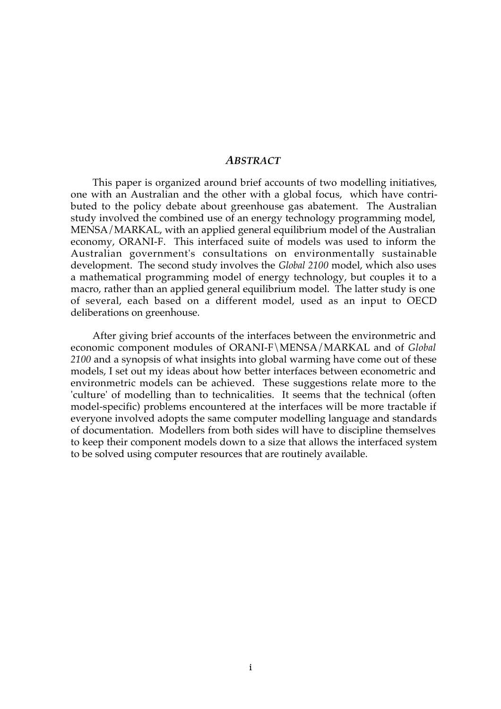#### *ABSTRACT*

This paper is organized around brief accounts of two modelling initiatives, one with an Australian and the other with a global focus, which have contributed to the policy debate about greenhouse gas abatement. The Australian study involved the combined use of an energy technology programming model, MENSA/MARKAL, with an applied general equilibrium model of the Australian economy, ORANI-F. This interfaced suite of models was used to inform the Australian government's consultations on environmentally sustainable development. The second study involves the *Global 2100* model, which also uses a mathematical programming model of energy technology, but couples it to a macro, rather than an applied general equilibrium model. The latter study is one of several, each based on a different model, used as an input to OECD deliberations on greenhouse.

After giving brief accounts of the interfaces between the environmetric and economic component modules of ORANI-F\MENSA/MARKAL and of *Global 2100* and a synopsis of what insights into global warming have come out of these models, I set out my ideas about how better interfaces between econometric and environmetric models can be achieved. These suggestions relate more to the 'culture' of modelling than to technicalities. It seems that the technical (often model-specific) problems encountered at the interfaces will be more tractable if everyone involved adopts the same computer modelling language and standards of documentation. Modellers from both sides will have to discipline themselves to keep their component models down to a size that allows the interfaced system to be solved using computer resources that are routinely available.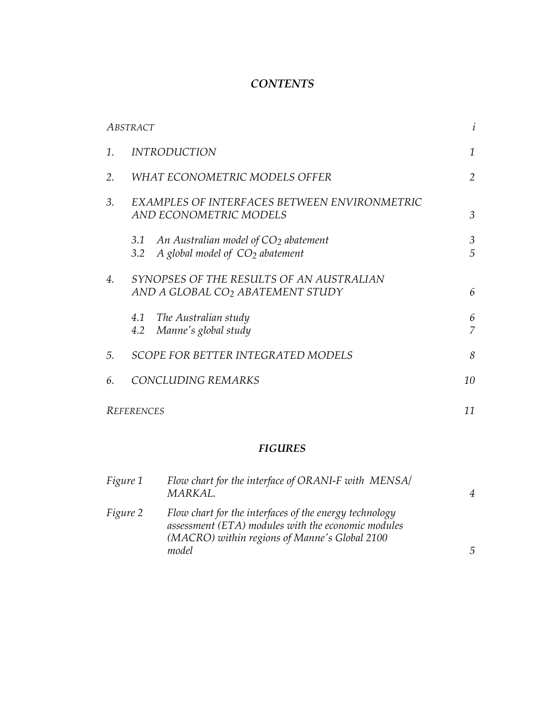## *CONTENTS*

|                 | ABSTRACT                                                                                  | $\iota$             |
|-----------------|-------------------------------------------------------------------------------------------|---------------------|
| $\mathcal{I}$ . | <i><b>INTRODUCTION</b></i>                                                                | $\mathbf{1}$        |
| 2.              | <b>WHAT ECONOMETRIC MODELS OFFER</b>                                                      |                     |
| 3.              | EXAMPLES OF INTERFACES BETWEEN ENVIRONMETRIC<br>AND ECONOMETRIC MODELS                    | 3                   |
|                 | An Australian model of $CO2$ abatement<br>3.1<br>A global model of $CO2$ abatement<br>3.2 | 3<br>5              |
| 4.              | SYNOPSES OF THE RESULTS OF AN AUSTRALIAN<br>AND A GLOBAL CO2 ABATEMENT STUDY              | 6                   |
|                 | The Australian study<br>4.1<br>Manne's global study<br>4.2                                | 6<br>$\overline{7}$ |
| 5.              | <b>SCOPE FOR BETTER INTEGRATED MODELS</b>                                                 | 8                   |
| 6.              | <b>CONCLUDING REMARKS</b>                                                                 | 10                  |
|                 | <b>REFERENCES</b>                                                                         | 11                  |

### *FIGURES*

| <i>Figure</i> 1 | Flow chart for the interface of ORANI-F with MENSA/<br><i>MARKAL.</i>                                                                                         | 4 |
|-----------------|---------------------------------------------------------------------------------------------------------------------------------------------------------------|---|
| <i>Figure</i> 2 | Flow chart for the interfaces of the energy technology<br>assessment (ETA) modules with the economic modules<br>(MACRO) within regions of Manne's Global 2100 |   |
|                 | model                                                                                                                                                         | 5 |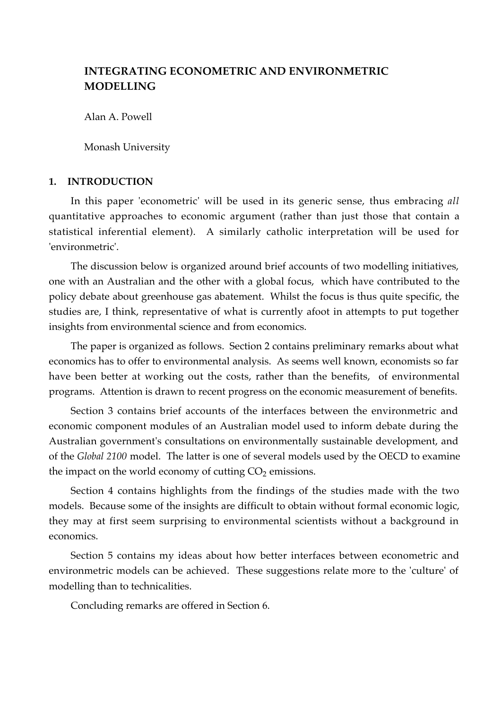# **INTEGRATING ECONOMETRIC AND ENVIRONMETRIC MODELLING**

Alan A. Powell

Monash University

#### **1. INTRODUCTION**

In this paper 'econometric' will be used in its generic sense, thus embracing *all* quantitative approaches to economic argument (rather than just those that contain a statistical inferential element). A similarly catholic interpretation will be used for 'environmetric'.

The discussion below is organized around brief accounts of two modelling initiatives, one with an Australian and the other with a global focus, which have contributed to the policy debate about greenhouse gas abatement. Whilst the focus is thus quite specific, the studies are, I think, representative of what is currently afoot in attempts to put together insights from environmental science and from economics.

The paper is organized as follows. Section 2 contains preliminary remarks about what economics has to offer to environmental analysis. As seems well known, economists so far have been better at working out the costs, rather than the benefits, of environmental programs. Attention is drawn to recent progress on the economic measurement of benefits.

Section 3 contains brief accounts of the interfaces between the environmetric and economic component modules of an Australian model used to inform debate during the Australian government's consultations on environmentally sustainable development, and of the *Global 2100* model. The latter is one of several models used by the OECD to examine the impact on the world economy of cutting  $CO<sub>2</sub>$  emissions.

Section 4 contains highlights from the findings of the studies made with the two models. Because some of the insights are difficult to obtain without formal economic logic, they may at first seem surprising to environmental scientists without a background in economics.

Section 5 contains my ideas about how better interfaces between econometric and environmetric models can be achieved. These suggestions relate more to the 'culture' of modelling than to technicalities.

Concluding remarks are offered in Section 6.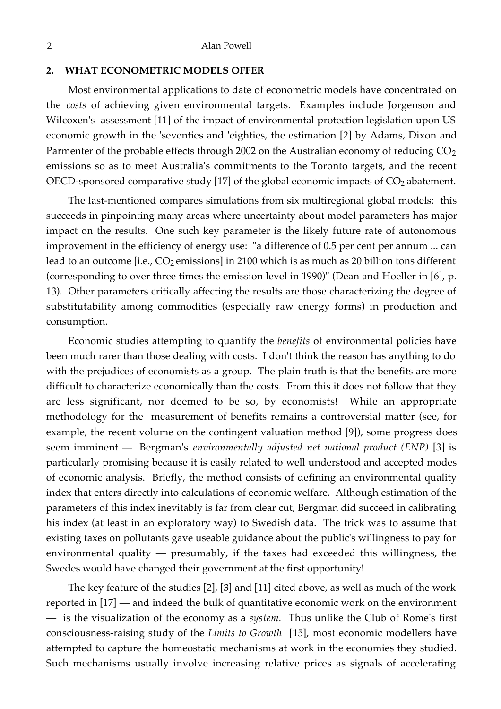#### **2. WHAT ECONOMETRIC MODELS OFFER**

Most environmental applications to date of econometric models have concentrated on the *costs* of achieving given environmental targets. Examples include Jorgenson and Wilcoxen's assessment [11] of the impact of environmental protection legislation upon US economic growth in the 'seventies and 'eighties, the estimation [2] by Adams, Dixon and Parmenter of the probable effects through 2002 on the Australian economy of reducing  $CO<sub>2</sub>$ emissions so as to meet Australia's commitments to the Toronto targets, and the recent OECD-sponsored comparative study [17] of the global economic impacts of  $CO<sub>2</sub>$  abatement.

The last-mentioned compares simulations from six multiregional global models: this succeeds in pinpointing many areas where uncertainty about model parameters has major impact on the results. One such key parameter is the likely future rate of autonomous improvement in the efficiency of energy use: "a difference of 0.5 per cent per annum ... can lead to an outcome [i.e.,  $CO_2$  emissions] in 2100 which is as much as 20 billion tons different (corresponding to over three times the emission level in 1990)" (Dean and Hoeller in [6], p. 13). Other parameters critically affecting the results are those characterizing the degree of substitutability among commodities (especially raw energy forms) in production and consumption.

Economic studies attempting to quantify the *benefits* of environmental policies have been much rarer than those dealing with costs. I don't think the reason has anything to do with the prejudices of economists as a group. The plain truth is that the benefits are more difficult to characterize economically than the costs. From this it does not follow that they are less significant, nor deemed to be so, by economists! While an appropriate methodology for the measurement of benefits remains a controversial matter (see, for example, the recent volume on the contingent valuation method [9]), some progress does seem imminent — Bergman's *environmentally adjusted net national product (ENP)* [3] is particularly promising because it is easily related to well understood and accepted modes of economic analysis. Briefly, the method consists of defining an environmental quality index that enters directly into calculations of economic welfare. Although estimation of the parameters of this index inevitably is far from clear cut, Bergman did succeed in calibrating his index (at least in an exploratory way) to Swedish data. The trick was to assume that existing taxes on pollutants gave useable guidance about the public's willingness to pay for environmental quality — presumably, if the taxes had exceeded this willingness, the Swedes would have changed their government at the first opportunity!

The key feature of the studies [2], [3] and [11] cited above, as well as much of the work reported in [17] — and indeed the bulk of quantitative economic work on the environment — is the visualization of the economy as a *system.* Thus unlike the Club of Rome's first consciousness-raising study of the *Limits to Growth* [15], most economic modellers have attempted to capture the homeostatic mechanisms at work in the economies they studied. Such mechanisms usually involve increasing relative prices as signals of accelerating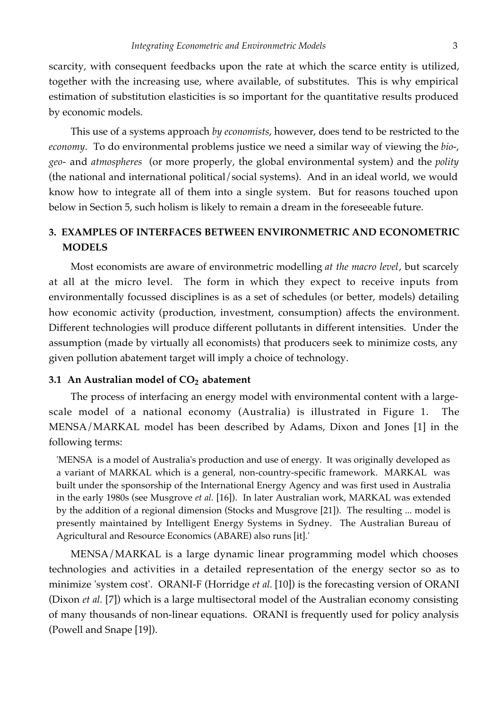scarcity, with consequent feedbacks upon the rate at which the scarce entity is utilized, together with the increasing use, where available, of substitutes. This is why empirical estimation of substitution elasticities is so important for the quantitative results produced by economic models.

This use of a systems approach *by economists*, however, does tend to be restricted to the *economy*. To do environmental problems justice we need a similar way of viewing the *bio-*, *geo-* and *atmospheres* (or more properly, the global environmental system) and the *polity* (the national and international political/social systems). And in an ideal world, we would know how to integrate all of them into a single system. But for reasons touched upon below in Section 5, such holism is likely to remain a dream in the foreseeable future.

# **3. EXAMPLES OF INTERFACES BETWEEN ENVIRONMETRIC AND ECONOMETRIC MODELS**

Most economists are aware of environmetric modelling *at the macro level*, but scarcely at all at the micro level. The form in which they expect to receive inputs from environmentally focussed disciplines is as a set of schedules (or better, models) detailing how economic activity (production, investment, consumption) affects the environment. Different technologies will produce different pollutants in different intensities. Under the assumption (made by virtually all economists) that producers seek to minimize costs, any given pollution abatement target will imply a choice of technology.

#### 3.1 An Australian model of CO<sub>2</sub> abatement

The process of interfacing an energy model with environmental content with a largescale model of a national economy (Australia) is illustrated in Figure 1. The MENSA/MARKAL model has been described by Adams, Dixon and Jones [1] in the following terms:

'MENSA is a model of Australia's production and use of energy. It was originally developed as a variant of MARKAL which is a general, non-country-specific framework. MARKAL was built under the sponsorship of the International Energy Agency and was first used in Australia in the early 1980s (see Musgrove *et al.* [16]). In later Australian work, MARKAL was extended by the addition of a regional dimension (Stocks and Musgrove [21]). The resulting ... model is presently maintained by Intelligent Energy Systems in Sydney. The Australian Bureau of Agricultural and Resource Economics (ABARE) also runs [it].'

MENSA/MARKAL is a large dynamic linear programming model which chooses technologies and activities in a detailed representation of the energy sector so as to minimize 'system cost'. ORANI-F (Horridge *et al.* [10]) is the forecasting version of ORANI (Dixon *et al.* [7]) which is a large multisectoral model of the Australian economy consisting of many thousands of non-linear equations. ORANI is frequently used for policy analysis (Powell and Snape [19]).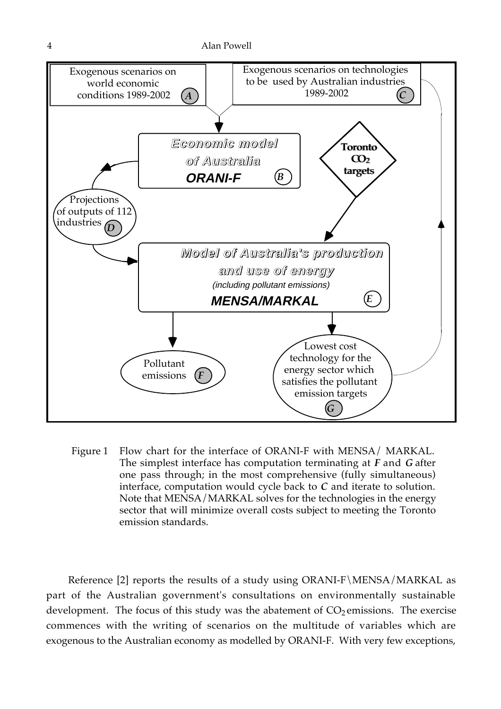

Figure 1 Flow chart for the interface of ORANI-F with MENSA/MARKAL. The simplest interface has computation terminating at *F* and *G* after one pass through; in the most comprehensive (fully simultaneous) interface, computation would cycle back to *C* and iterate to solution. Note that MENSA/MARKAL solves for the technologies in the energy sector that will minimize overall costs subject to meeting the Toronto emission standards.

Reference [2] reports the results of a study using ORANI-F\MENSA/MARKAL as part of the Australian government's consultations on environmentally sustainable development. The focus of this study was the abatement of  $CO<sub>2</sub>$  emissions. The exercise commences with the writing of scenarios on the multitude of variables which are exogenous to the Australian economy as modelled by ORANI-F. With very few exceptions,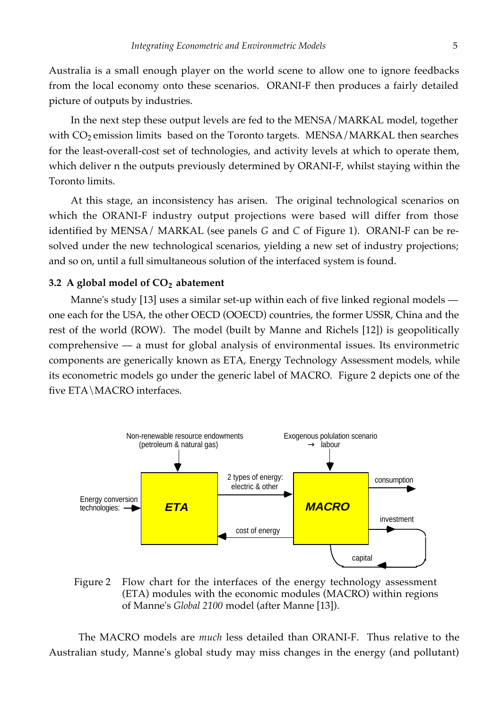Australia is a small enough player on the world scene to allow one to ignore feedbacks from the local economy onto these scenarios. ORANI-F then produces a fairly detailed picture of outputs by industries.

In the next step these output levels are fed to the MENSA/MARKAL model, together with  $CO<sub>2</sub>$  emission limits based on the Toronto targets. MENSA/MARKAL then searches for the least-overall-cost set of technologies, and activity levels at which to operate them, which deliver n the outputs previously determined by ORANI-F, whilst staying within the Toronto limits.

At this stage, an inconsistency has arisen. The original technological scenarios on which the ORANI-F industry output projections were based will differ from those identified by MENSA/ MARKAL (see panels *G* and *C* of Figure 1). ORANI-F can be resolved under the new technological scenarios, yielding a new set of industry projections; and so on, until a full simultaneous solution of the interfaced system is found.

#### 3.2 A global model of CO<sub>2</sub> abatement

Manne's study [13] uses a similar set-up within each of five linked regional models one each for the USA, the other OECD (OOECD) countries, the former USSR, China and the rest of the world (ROW). The model (built by Manne and Richels [12]) is geopolitically comprehensive — a must for global analysis of environmental issues. Its environmetric components are generically known as ETA, Energy Technology Assessment models, while its econometric models go under the generic label of MACRO. Figure 2 depicts one of the five ETA\MACRO interfaces.



Figure 2 Flow chart for the interfaces of the energy technology assessment (ETA) modules with the economic modules (MACRO) within regions of Manne's *Global 2100* model (after Manne [13]).

 The MACRO models are *much* less detailed than ORANI-F. Thus relative to the Australian study, Manne's global study may miss changes in the energy (and pollutant)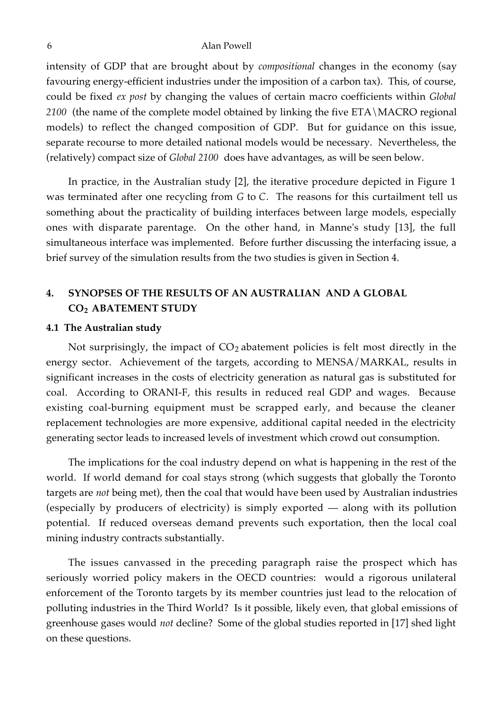intensity of GDP that are brought about by *compositional* changes in the economy (say favouring energy-efficient industries under the imposition of a carbon tax). This, of course, could be fixed *ex post* by changing the values of certain macro coefficients within *Global 2100* (the name of the complete model obtained by linking the five ETA\MACRO regional models) to reflect the changed composition of GDP. But for guidance on this issue, separate recourse to more detailed national models would be necessary. Nevertheless, the (relatively) compact size of *Global 2100* does have advantages, as will be seen below.

In practice, in the Australian study [2], the iterative procedure depicted in Figure 1 was terminated after one recycling from *G* to *C*. The reasons for this curtailment tell us something about the practicality of building interfaces between large models, especially ones with disparate parentage. On the other hand, in Manne's study [13], the full simultaneous interface was implemented. Before further discussing the interfacing issue, a brief survey of the simulation results from the two studies is given in Section 4.

# **4. SYNOPSES OF THE RESULTS OF AN AUSTRALIAN AND A GLOBAL CO2 ABATEMENT STUDY**

#### **4.1 The Australian study**

Not surprisingly, the impact of  $CO<sub>2</sub>$  abatement policies is felt most directly in the energy sector. Achievement of the targets, according to MENSA/MARKAL, results in significant increases in the costs of electricity generation as natural gas is substituted for coal. According to ORANI-F, this results in reduced real GDP and wages. Because existing coal-burning equipment must be scrapped early, and because the cleaner replacement technologies are more expensive, additional capital needed in the electricity generating sector leads to increased levels of investment which crowd out consumption.

The implications for the coal industry depend on what is happening in the rest of the world. If world demand for coal stays strong (which suggests that globally the Toronto targets are *not* being met), then the coal that would have been used by Australian industries (especially by producers of electricity) is simply exported — along with its pollution potential. If reduced overseas demand prevents such exportation, then the local coal mining industry contracts substantially.

The issues canvassed in the preceding paragraph raise the prospect which has seriously worried policy makers in the OECD countries: would a rigorous unilateral enforcement of the Toronto targets by its member countries just lead to the relocation of polluting industries in the Third World? Is it possible, likely even, that global emissions of greenhouse gases would *not* decline? Some of the global studies reported in [17] shed light on these questions.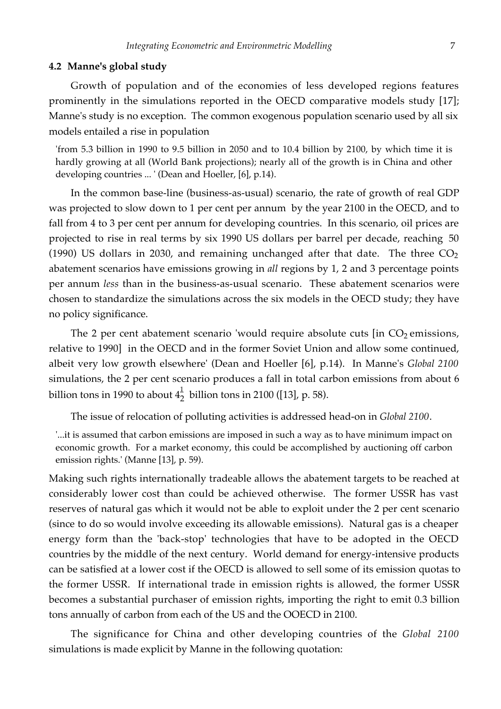#### **4.2 Manne's global study**

Growth of population and of the economies of less developed regions features prominently in the simulations reported in the OECD comparative models study [17]; Manne's study is no exception. The common exogenous population scenario used by all six models entailed a rise in population

'from 5.3 billion in 1990 to 9.5 billion in 2050 and to 10.4 billion by 2100, by which time it is hardly growing at all (World Bank projections); nearly all of the growth is in China and other developing countries ... ' (Dean and Hoeller, [6], p.14).

In the common base-line (business-as-usual) scenario, the rate of growth of real GDP was projected to slow down to 1 per cent per annum by the year 2100 in the OECD, and to fall from 4 to 3 per cent per annum for developing countries. In this scenario, oil prices are projected to rise in real terms by six 1990 US dollars per barrel per decade, reaching 50 (1990) US dollars in 2030, and remaining unchanged after that date. The three  $CO<sub>2</sub>$ abatement scenarios have emissions growing in *all* regions by 1, 2 and 3 percentage points per annum *less* than in the business-as-usual scenario. These abatement scenarios were chosen to standardize the simulations across the six models in the OECD study; they have no policy significance.

The 2 per cent abatement scenario 'would require absolute cuts  $\left[$ in CO<sub>2</sub> emissions, relative to 1990] in the OECD and in the former Soviet Union and allow some continued, albeit very low growth elsewhere' (Dean and Hoeller [6], p.14). In Manne's *Global 2100* simulations, the 2 per cent scenario produces a fall in total carbon emissions from about 6 billion tons in 1990 to about  $4\frac{1}{2}$  billion tons in 2100 ([13], p. 58).

The issue of relocation of polluting activities is addressed head-on in *Global 2100*.

'...it is assumed that carbon emissions are imposed in such a way as to have minimum impact on economic growth. For a market economy, this could be accomplished by auctioning off carbon emission rights.' (Manne [13], p. 59).

Making such rights internationally tradeable allows the abatement targets to be reached at considerably lower cost than could be achieved otherwise. The former USSR has vast reserves of natural gas which it would not be able to exploit under the 2 per cent scenario (since to do so would involve exceeding its allowable emissions). Natural gas is a cheaper energy form than the 'back-stop' technologies that have to be adopted in the OECD countries by the middle of the next century. World demand for energy-intensive products can be satisfied at a lower cost if the OECD is allowed to sell some of its emission quotas to the former USSR. If international trade in emission rights is allowed, the former USSR becomes a substantial purchaser of emission rights, importing the right to emit 0.3 billion tons annually of carbon from each of the US and the OOECD in 2100.

The significance for China and other developing countries of the *Global 2100* simulations is made explicit by Manne in the following quotation: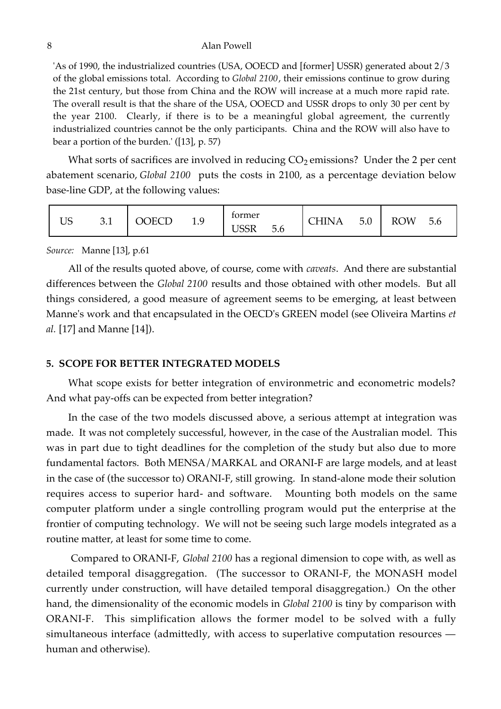#### 8 Alan Powell

'As of 1990, the industrialized countries (USA, OOECD and [former] USSR) generated about 2/3 of the global emissions total. According to *Global 2100*, their emissions continue to grow during the 21st century, but those from China and the ROW will increase at a much more rapid rate. The overall result is that the share of the USA, OOECD and USSR drops to only 30 per cent by the year 2100. Clearly, if there is to be a meaningful global agreement, the currently industrialized countries cannot be the only participants. China and the ROW will also have to bear a portion of the burden.' ([13], p. 57)

What sorts of sacrifices are involved in reducing  $CO<sub>2</sub>$  emissions? Under the 2 per cent abatement scenario, *Global 2100* puts the costs in 2100, as a percentage deviation below base-line GDP, at the following values:

| $\pi$<br>T TO<br>1 Q<br>×.<br>16 O<br>м<br>J.I<br><b>1.</b><br>ັບ<br>- | tormer<br>$\blacksquare$<br>5.6<br>ערכ<br>ັ | $\sim$<br><b>HINA</b><br>∽<br>$\cup\cdot\cup$<br>ີ | <b>ROW</b><br>$\overline{\phantom{a}}$<br>5.6 |
|------------------------------------------------------------------------|---------------------------------------------|----------------------------------------------------|-----------------------------------------------|
|------------------------------------------------------------------------|---------------------------------------------|----------------------------------------------------|-----------------------------------------------|

*Source:* Manne [13], p.61

All of the results quoted above, of course, come with *caveats*. And there are substantial differences between the *Global 2100* results and those obtained with other models. But all things considered, a good measure of agreement seems to be emerging, at least between Manne's work and that encapsulated in the OECD's GREEN model (see Oliveira Martins *et al.* [17] and Manne [14]).

#### **5. SCOPE FOR BETTER INTEGRATED MODELS**

What scope exists for better integration of environmetric and econometric models? And what pay-offs can be expected from better integration?

In the case of the two models discussed above, a serious attempt at integration was made. It was not completely successful, however, in the case of the Australian model. This was in part due to tight deadlines for the completion of the study but also due to more fundamental factors. Both MENSA/MARKAL and ORANI-F are large models, and at least in the case of (the successor to) ORANI-F, still growing. In stand-alone mode their solution requires access to superior hard- and software. Mounting both models on the same computer platform under a single controlling program would put the enterprise at the frontier of computing technology. We will not be seeing such large models integrated as a routine matter, at least for some time to come.

 Compared to ORANI-F, *Global 2100* has a regional dimension to cope with, as well as detailed temporal disaggregation. (The successor to ORANI-F, the MONASH model currently under construction, will have detailed temporal disaggregation.) On the other hand, the dimensionality of the economic models in *Global 2100* is tiny by comparison with ORANI-F. This simplification allows the former model to be solved with a fully simultaneous interface (admittedly, with access to superlative computation resources human and otherwise).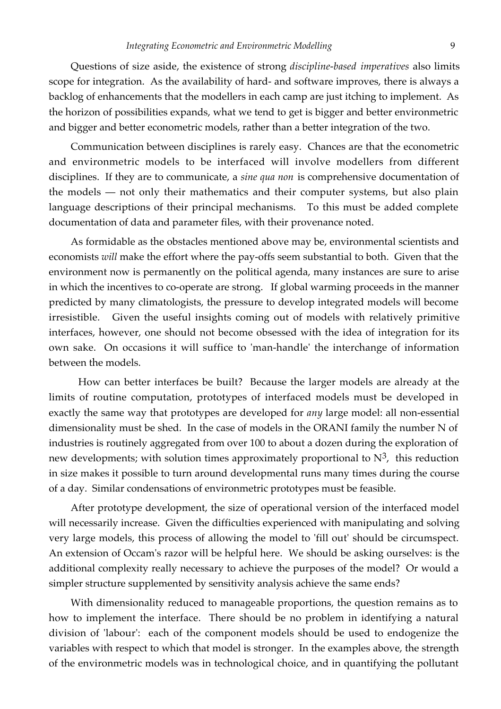Questions of size aside, the existence of strong *discipline-based imperatives* also limits scope for integration. As the availability of hard- and software improves, there is always a backlog of enhancements that the modellers in each camp are just itching to implement. As the horizon of possibilities expands, what we tend to get is bigger and better environmetric and bigger and better econometric models, rather than a better integration of the two.

Communication between disciplines is rarely easy. Chances are that the econometric and environmetric models to be interfaced will involve modellers from different disciplines. If they are to communicate, a *sine qua non* is comprehensive documentation of the models — not only their mathematics and their computer systems, but also plain language descriptions of their principal mechanisms. To this must be added complete documentation of data and parameter files, with their provenance noted.

As formidable as the obstacles mentioned above may be, environmental scientists and economists *will* make the effort where the pay-offs seem substantial to both. Given that the environment now is permanently on the political agenda, many instances are sure to arise in which the incentives to co-operate are strong. If global warming proceeds in the manner predicted by many climatologists, the pressure to develop integrated models will become irresistible. Given the useful insights coming out of models with relatively primitive interfaces, however, one should not become obsessed with the idea of integration for its own sake. On occasions it will suffice to 'man-handle' the interchange of information between the models.

 How can better interfaces be built? Because the larger models are already at the limits of routine computation, prototypes of interfaced models must be developed in exactly the same way that prototypes are developed for *any* large model: all non-essential dimensionality must be shed. In the case of models in the ORANI family the number N of industries is routinely aggregated from over 100 to about a dozen during the exploration of new developments; with solution times approximately proportional to  $N^3$ , this reduction in size makes it possible to turn around developmental runs many times during the course of a day. Similar condensations of environmetric prototypes must be feasible.

After prototype development, the size of operational version of the interfaced model will necessarily increase. Given the difficulties experienced with manipulating and solving very large models, this process of allowing the model to 'fill out' should be circumspect. An extension of Occam's razor will be helpful here. We should be asking ourselves: is the additional complexity really necessary to achieve the purposes of the model? Or would a simpler structure supplemented by sensitivity analysis achieve the same ends?

With dimensionality reduced to manageable proportions, the question remains as to how to implement the interface. There should be no problem in identifying a natural division of 'labour': each of the component models should be used to endogenize the variables with respect to which that model is stronger. In the examples above, the strength of the environmetric models was in technological choice, and in quantifying the pollutant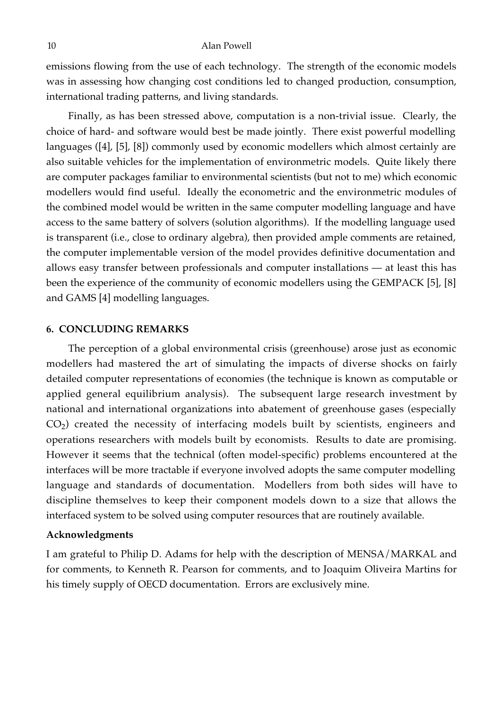emissions flowing from the use of each technology. The strength of the economic models was in assessing how changing cost conditions led to changed production, consumption, international trading patterns, and living standards.

Finally, as has been stressed above, computation is a non-trivial issue. Clearly, the choice of hard- and software would best be made jointly. There exist powerful modelling languages ([4], [5], [8]) commonly used by economic modellers which almost certainly are also suitable vehicles for the implementation of environmetric models. Quite likely there are computer packages familiar to environmental scientists (but not to me) which economic modellers would find useful. Ideally the econometric and the environmetric modules of the combined model would be written in the same computer modelling language and have access to the same battery of solvers (solution algorithms). If the modelling language used is transparent (i.e., close to ordinary algebra), then provided ample comments are retained, the computer implementable version of the model provides definitive documentation and allows easy transfer between professionals and computer installations — at least this has been the experience of the community of economic modellers using the GEMPACK [5], [8] and GAMS [4] modelling languages.

#### **6. CONCLUDING REMARKS**

The perception of a global environmental crisis (greenhouse) arose just as economic modellers had mastered the art of simulating the impacts of diverse shocks on fairly detailed computer representations of economies (the technique is known as computable or applied general equilibrium analysis). The subsequent large research investment by national and international organizations into abatement of greenhouse gases (especially CO2) created the necessity of interfacing models built by scientists, engineers and operations researchers with models built by economists. Results to date are promising. However it seems that the technical (often model-specific) problems encountered at the interfaces will be more tractable if everyone involved adopts the same computer modelling language and standards of documentation. Modellers from both sides will have to discipline themselves to keep their component models down to a size that allows the interfaced system to be solved using computer resources that are routinely available.

#### **Acknowledgments**

I am grateful to Philip D. Adams for help with the description of MENSA/MARKAL and for comments, to Kenneth R. Pearson for comments, and to Joaquim Oliveira Martins for his timely supply of OECD documentation. Errors are exclusively mine.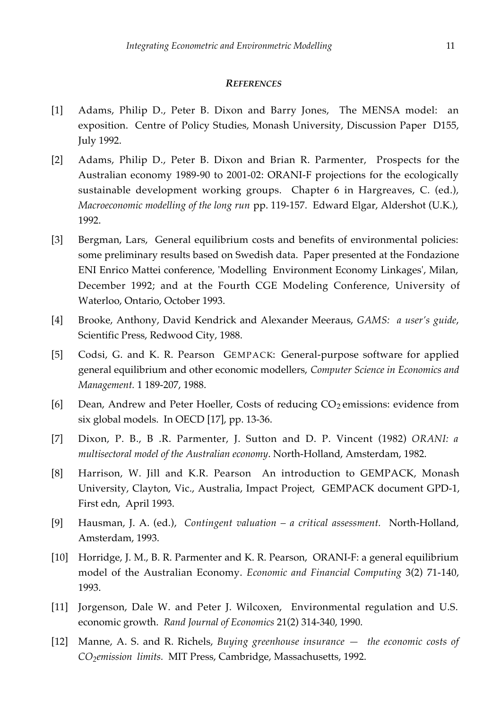#### *REFERENCES*

- [1] Adams, Philip D., Peter B. Dixon and Barry Jones, The MENSA model: an exposition. Centre of Policy Studies, Monash University, Discussion Paper D155, July 1992.
- [2] Adams, Philip D., Peter B. Dixon and Brian R. Parmenter, Prospects for the Australian economy 1989-90 to 2001-02: ORANI-F projections for the ecologically sustainable development working groups. Chapter 6 in Hargreaves, C. (ed.), *Macroeconomic modelling of the long run* pp. 119-157. Edward Elgar, Aldershot (U.K.), 1992.
- [3] Bergman, Lars, General equilibrium costs and benefits of environmental policies: some preliminary results based on Swedish data. Paper presented at the Fondazione ENI Enrico Mattei conference, 'Modelling Environment Economy Linkages', Milan, December 1992; and at the Fourth CGE Modeling Conference, University of Waterloo, Ontario, October 1993.
- [4] Brooke, Anthony, David Kendrick and Alexander Meeraus, *GAMS: a user's guide*, Scientific Press, Redwood City, 1988.
- [5] Codsi, G. and K. R. Pearson GEMPACK: General-purpose software for applied general equilibrium and other economic modellers, *Computer Science in Economics and Management.* 1 189-207, 1988.
- [6] Dean, Andrew and Peter Hoeller, Costs of reducing  $CO<sub>2</sub>$  emissions: evidence from six global models. In OECD [17], pp. 13-36.
- [7] Dixon, P. B., B .R. Parmenter, J. Sutton and D. P. Vincent (1982) *ORANI: a multisectoral model of the Australian economy*. North-Holland, Amsterdam, 1982.
- [8] Harrison, W. Jill and K.R. Pearson An introduction to GEMPACK, Monash University, Clayton, Vic., Australia, Impact Project, GEMPACK document GPD-1, First edn, April 1993.
- [9] Hausman, J. A. (ed.), *Contingent valuation a critical assessment.* North-Holland, Amsterdam, 1993.
- [10] Horridge, J. M., B. R. Parmenter and K. R. Pearson, ORANI-F: a general equilibrium model of the Australian Economy. *Economic and Financial Computing* 3(2) 71-140, 1993.
- [11] Jorgenson, Dale W. and Peter J. Wilcoxen, Environmental regulation and U.S. economic growth. *Rand Journal of Economics* 21(2) 314-340, 1990.
- [12] Manne, A. S. and R. Richels, *Buying greenhouse insurance the economic costs of CO2emission limits.* MIT Press, Cambridge, Massachusetts, 1992.